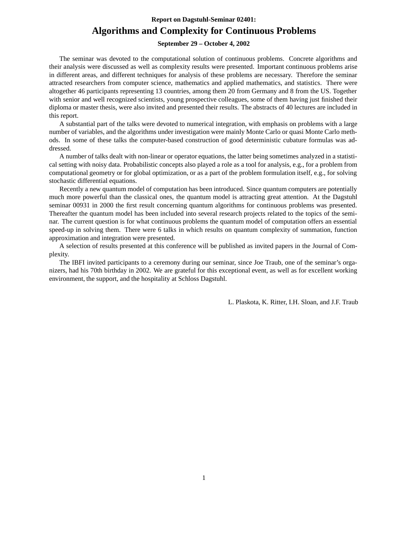## **Report on Dagstuhl-Seminar 02401: Algorithms and Complexity for Continuous Problems**

#### **September 29 – October 4, 2002**

The seminar was devoted to the computational solution of continuous problems. Concrete algorithms and their analysis were discussed as well as complexity results were presented. Important continuous problems arise in different areas, and different techniques for analysis of these problems are necessary. Therefore the seminar attracted researchers from computer science, mathematics and applied mathematics, and statistics. There were altogether 46 participants representing 13 countries, among them 20 from Germany and 8 from the US. Together with senior and well recognized scientists, young prospective colleagues, some of them having just finished their diploma or master thesis, were also invited and presented their results. The abstracts of 40 lectures are included in this report.

A substantial part of the talks were devoted to numerical integration, with emphasis on problems with a large number of variables, and the algorithms under investigation were mainly Monte Carlo or quasi Monte Carlo methods. In some of these talks the computer-based construction of good deterministic cubature formulas was addressed.

A number of talks dealt with non-linear or operator equations, the latter being sometimes analyzed in a statistical setting with noisy data. Probabilistic concepts also played a role as a tool for analysis, e.g., for a problem from computational geometry or for global optimization, or as a part of the problem formulation itself, e.g., for solving stochastic differential equations.

Recently a new quantum model of computation has been introduced. Since quantum computers are potentially much more powerful than the classical ones, the quantum model is attracting great attention. At the Dagstuhl seminar 00931 in 2000 the first result concerning quantum algorithms for continuous problems was presented. Thereafter the quantum model has been included into several research projects related to the topics of the seminar. The current question is for what continuous problems the quantum model of computation offers an essential speed-up in solving them. There were 6 talks in which results on quantum complexity of summation, function approximation and integration were presented.

A selection of results presented at this conference will be published as invited papers in the Journal of Complexity.

The IBFI invited participants to a ceremony during our seminar, since Joe Traub, one of the seminar's organizers, had his 70th birthday in 2002. We are grateful for this exceptional event, as well as for excellent working environment, the support, and the hospitality at Schloss Dagstuhl.

L. Plaskota, K. Ritter, I.H. Sloan, and J.F. Traub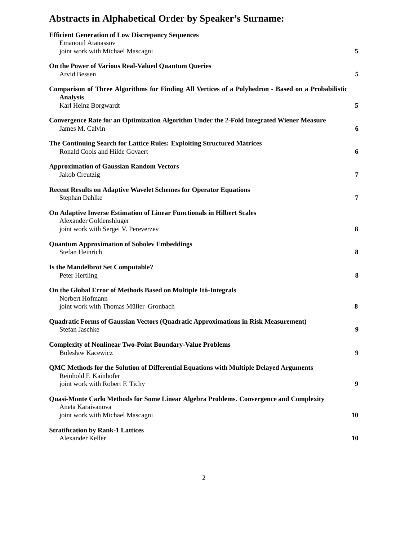# **Abstracts in Alphabetical Order by Speaker's Surname:**

| <b>Efficient Generation of Low Discrepancy Sequences</b><br>Emanouil Atanassov<br>joint work with Michael Mascagni                                 | 5  |
|----------------------------------------------------------------------------------------------------------------------------------------------------|----|
| On the Power of Various Real-Valued Quantum Queries<br>Arvid Bessen                                                                                | 5  |
| Comparison of Three Algorithms for Finding All Vertices of a Polyhedron - Based on a Probabilistic<br><b>Analysis</b>                              |    |
| Karl Heinz Borgwardt                                                                                                                               | 5  |
| Convergence Rate for an Optimization Algorithm Under the 2-Fold Integrated Wiener Measure<br>James M. Calvin                                       | 6  |
| The Continuing Search for Lattice Rules: Exploiting Structured Matrices<br>Ronald Cools and Hilde Govaert                                          | 6  |
| <b>Approximation of Gaussian Random Vectors</b><br>Jakob Creutzig                                                                                  | 7  |
| <b>Recent Results on Adaptive Wavelet Schemes for Operator Equations</b><br>Stephan Dahlke                                                         | 7  |
| On Adaptive Inverse Estimation of Linear Functionals in Hilbert Scales<br>Alexander Goldenshluger<br>joint work with Sergei V. Pereverzev          | 8  |
| <b>Quantum Approximation of Sobolev Embeddings</b><br>Stefan Heinrich                                                                              | 8  |
| Is the Mandelbrot Set Computable?<br>Peter Hertling                                                                                                | 8  |
| On the Global Error of Methods Based on Multiple Itô-Integrals<br>Norbert Hofmann                                                                  |    |
| joint work with Thomas Müller-Gronbach                                                                                                             | 8  |
| Quadratic Forms of Gaussian Vectors (Quadratic Approximations in Risk Measurement)<br>Stefan Jaschke                                               | 9  |
| <b>Complexity of Nonlinear Two-Point Boundary-Value Problems</b><br><b>Bolesław Kacewicz</b>                                                       | 9  |
| QMC Methods for the Solution of Differential Equations with Multiple Delayed Arguments<br>Reinhold F. Kainhofer<br>joint work with Robert F. Tichy | 9  |
| Quasi-Monte Carlo Methods for Some Linear Algebra Problems. Convergence and Complexity<br>Aneta Karaivanova<br>joint work with Michael Mascagni    | 10 |
| <b>Stratification by Rank-1 Lattices</b><br>Alexander Keller                                                                                       | 10 |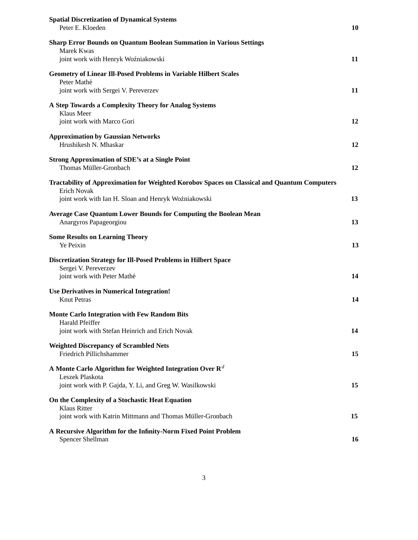| <b>Spatial Discretization of Dynamical Systems</b><br>Peter E. Kloeden                              | 10 |
|-----------------------------------------------------------------------------------------------------|----|
| <b>Sharp Error Bounds on Quantum Boolean Summation in Various Settings</b>                          |    |
| Marek Kwas<br>joint work with Henryk Woźniakowski                                                   | 11 |
|                                                                                                     |    |
| <b>Geometry of Linear Ill-Posed Problems in Variable Hilbert Scales</b><br>Peter Mathé              |    |
| joint work with Sergei V. Pereverzev                                                                | 11 |
| A Step Towards a Complexity Theory for Analog Systems<br>Klaus Meer                                 |    |
| joint work with Marco Gori                                                                          | 12 |
| <b>Approximation by Gaussian Networks</b><br>Hrushikesh N. Mhaskar                                  | 12 |
| <b>Strong Approximation of SDE's at a Single Point</b><br>Thomas Müller-Gronbach                    | 12 |
| <b>Tractability of Approximation for Weighted Korobov Spaces on Classical and Quantum Computers</b> |    |
| <b>Erich Novak</b><br>joint work with Ian H. Sloan and Henryk Woźniakowski                          | 13 |
|                                                                                                     |    |
| <b>Average Case Quantum Lower Bounds for Computing the Boolean Mean</b><br>Anargyros Papageorgiou   | 13 |
| <b>Some Results on Learning Theory</b><br>Ye Peixin                                                 | 13 |
| <b>Discretization Strategy for Ill-Posed Problems in Hilbert Space</b>                              |    |
| Sergei V. Pereverzev<br>joint work with Peter Mathé                                                 | 14 |
|                                                                                                     |    |
| <b>Use Derivatives in Numerical Integration!</b><br><b>Knut Petras</b>                              | 14 |
| <b>Monte Carlo Integration with Few Random Bits</b>                                                 |    |
| <b>Harald Pfeiffer</b><br>joint work with Stefan Heinrich and Erich Novak                           | 14 |
| <b>Weighted Discrepancy of Scrambled Nets</b><br>Friedrich Pillichshammer                           | 15 |
| A Monte Carlo Algorithm for Weighted Integration Over $\mathbf{R}^d$                                |    |
| Leszek Plaskota<br>joint work with P. Gajda, Y. Li, and Greg W. Wasilkowski                         | 15 |
| On the Complexity of a Stochastic Heat Equation                                                     |    |
| <b>Klaus Ritter</b><br>joint work with Katrin Mittmann and Thomas Müller-Gronbach                   | 15 |
|                                                                                                     |    |
| A Recursive Algorithm for the Infinity-Norm Fixed Point Problem<br>Spencer Shellman                 | 16 |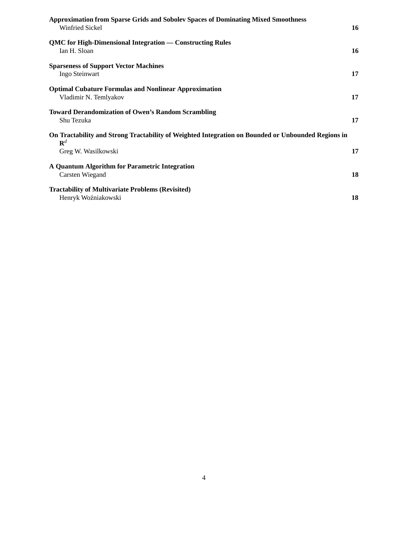| <b>Approximation from Sparse Grids and Sobolev Spaces of Dominating Mixed Smoothness</b><br><b>Winfried Sickel</b>   | 16 |
|----------------------------------------------------------------------------------------------------------------------|----|
| QMC for High-Dimensional Integration — Constructing Rules<br>Ian H. Sloan                                            | 16 |
| <b>Sparseness of Support Vector Machines</b><br>Ingo Steinwart                                                       | 17 |
| <b>Optimal Cubature Formulas and Nonlinear Approximation</b><br>Vladimir N. Temlyakov                                | 17 |
| <b>Toward Derandomization of Owen's Random Scrambling</b><br>Shu Tezuka                                              | 17 |
| On Tractability and Strong Tractability of Weighted Integration on Bounded or Unbounded Regions in<br>$\mathbf{R}^d$ |    |
| Greg W. Wasilkowski                                                                                                  | 17 |
| A Quantum Algorithm for Parametric Integration<br>Carsten Wiegand                                                    | 18 |
| <b>Tractability of Multivariate Problems (Revisited)</b><br>Henryk Woźniakowski                                      | 18 |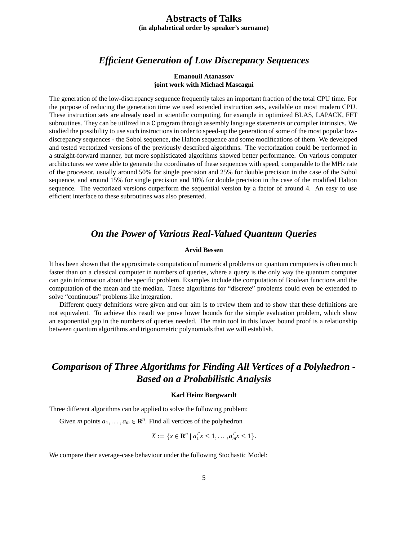## **Abstracts of Talks**

**(in alphabetical order by speaker's surname)**

### *Efficient Generation of Low Discrepancy Sequences*

#### **Emanouil Atanassov joint work with Michael Mascagni**

The generation of the low-discrepancy sequence frequently takes an important fraction of the total CPU time. For the purpose of reducing the generation time we used extended instruction sets, available on most modern CPU. These instruction sets are already used in scientific computing, for example in optimized BLAS, LAPACK, FFT subroutines. They can be utilized in a C program through assembly language statements or compiler intrinsics. We studied the possibility to use such instructions in order to speed-up the generation of some of the most popular lowdiscrepancy sequences - the Sobol sequence, the Halton sequence and some modifications of them. We developed and tested vectorized versions of the previously described algorithms. The vectorization could be performed in a straight-forward manner, but more sophisticated algorithms showed better performance. On various computer architectures we were able to generate the coordinates of these sequences with speed, comparable to the MHz rate of the processor, usually around 50% for single precision and 25% for double precision in the case of the Sobol sequence, and around 15% for single precision and 10% for double precision in the case of the modified Halton sequence. The vectorized versions outperform the sequential version by a factor of around 4. An easy to use efficient interface to these subroutines was also presented.

### *On the Power of Various Real-Valued Quantum Queries*

#### **Arvid Bessen**

It has been shown that the approximate computation of numerical problems on quantum computers is often much faster than on a classical computer in numbers of queries, where a query is the only way the quantum computer can gain information about the specific problem. Examples include the computation of Boolean functions and the computation of the mean and the median. These algorithms for "discrete" problems could even be extended to solve "continuous" problems like integration.

Different query definitions were given and our aim is to review them and to show that these definitions are not equivalent. To achieve this result we prove lower bounds for the simple evaluation problem, which show an exponential gap in the numbers of queries needed. The main tool in this lower bound proof is a relationship between quantum algorithms and trigonometric polynomials that we will establish.

## *Comparison of Three Algorithms for Finding All Vertices of a Polyhedron - Based on a Probabilistic Analysis*

### **Karl Heinz Borgwardt**

Three different algorithms can be applied to solve the following problem:

Given *m* points  $a_1, \ldots, a_m \in \mathbb{R}^n$ . Find all vertices of the polyhedron

$$
X := \{ x \in \mathbf{R}^n \mid a_1^T x \le 1, \dots, a_m^T x \le 1 \}
$$

We compare their average-case behaviour under the following Stochastic Model: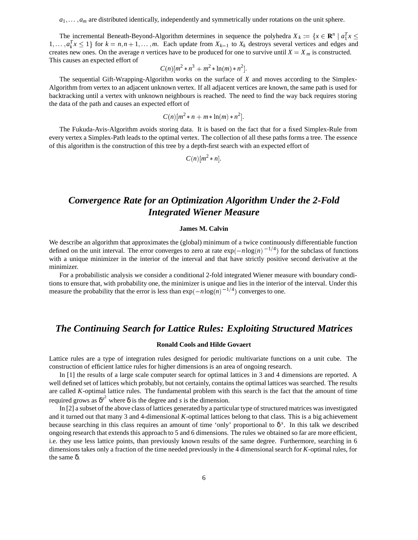$a_1, \ldots, a_m$  are distributed identically, independently and symmetrically under rotations on the unit sphere.

The incremental Beneath-Beyond-Algorithm determines in sequence the polyhedra  $X_k := \{x \in \mathbb{R}^n \mid a_1^T x \leq x \leq x \}$  $1, \ldots, a_k^T x \leq 1$  for  $k = n, n + 1, \ldots, m$ . Each update from  $X_{k-1}$  to  $X_k$  destroys several vertices and edges and creates new ones. On the average *n* vertices have to be produced for one to survive until  $X = X_m$  is constructed. This causes an expected effort of

$$
C(n)[m^2 * n^3 + m^2 * ln(m) * n^2].
$$

The sequential Gift-Wrapping-Algorithm works on the surface of *X* and moves according to the Simplex-Algorithm from vertex to an adjacent unknown vertex. If all adjacent vertices are known, the same path is used for backtracking until a vertex with unknown neighbours is reached. The need to find the way back requires storing the data of the path and causes an expected effort of

$$
C(n)[m^2*n+m*\ln(m)*n^2].
$$

The Fukuda-Avis-Algorithm avoids storing data. It is based on the fact that for a fixed Simplex-Rule from every vertex a Simplex-Path leads to the optimal vertex. The collection of all these paths forms a tree. The essence of this algorithm is the construction of this tree by a depth-first search with an expected effort of

$$
C(n)[m^2*n]
$$

## *Convergence Rate for an Optimization Algorithm Under the 2-Fold Integrated Wiener Measure*

#### **James M. Calvin**

We describe an algorithm that approximates the (global) minimum of a twice continuously differentiable function defined on the unit interval. The error converges to zero at rate  $\exp(-n\log(n)^{-1/4})$  for the subclass of functions with a unique minimizer in the interior of the interval and that have strictly positive second derivative at the minimizer.

For a probabilistic analysis we consider a conditional 2-fold integrated Wiener measure with boundary conditions to ensure that, with probability one, the minimizer is unique and lies in the interior of the interval. Under this measure the probability that the error is less than  $\exp(-n\log(n)^{-1/4})$  converges to one.

### *The Continuing Search for Lattice Rules: Exploiting Structured Matrices*

### **Ronald Cools and Hilde Govaert**

Lattice rules are a type of integration rules designed for periodic multivariate functions on a unit cube. The construction of efficient lattice rules for higher dimensions is an area of ongoing research.

In [1] the results of a large scale computer search for optimal lattices in 3 and 4 dimensions are reported. A well defined set of lattices which probably, but not certainly, contains the optimal lattices was searched. The results are called *K*-optimal lattice rules. The fundamental problem with this search is the fact that the amount of time required grows as  $δ<sup>s<sup>2</sup></sup>$  where  $δ$  is the degree and *s* is the dimension.

In [2] a subset of the above class of lattices generated by a particular type of structured matrices was investigated and it turned out that many 3 and 4-dimensional *K*-optimal lattices belong to that class. This is a big achievement because searching in this class requires an amount of time 'only' proportional to  $\delta^s$ . In this talk we described ongoing research that extends this approach to 5 and 6 dimensions. The rules we obtained so far are more efficient, i.e. they use less lattice points, than previously known results of the same degree. Furthermore, searching in 6 dimensions takes only a fraction of the time needed previously in the 4 dimensional search for *K*-optimal rules, for the same δ.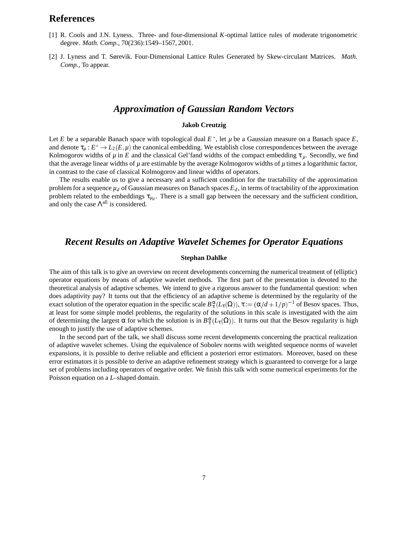### **References**

- [1] R. Cools and J.N. Lyness. Three- and four-dimensional *K*-optimal lattice rules of moderate trigonometric degree. *Math. Comp.*, 70(236):1549–1567, 2001.
- [2] J. Lyness and T. Sørevik. Four-Dimensional Lattice Rules Generated by Skew-circulant Matrices. *Math. Comp.*, To appear.

### *Approximation of Gaussian Random Vectors*

#### **Jakob Creutzig**

Let *E* be a separable Banach space with topological dual  $E^*$ , let  $\mu$  be a Gaussian measure on a Banach space  $E$ , and denote  $\tau_u : E^* \to L_2(E, \mu)$  the canonical embedding. We establish close correspondences between the average Kolmogorov widths of  $\mu$  in *E* and the classical Gel'fand widths of the compact embedding  $\tau_{\mu}$ . Secondly, we find that the average linear widths of  $\mu$  are estimable by the average Kolmogorov widths of  $\mu$  times a logarithmic factor, in contrast to the case of classical Kolmogorov and linear widths of operators.

The results enable us to give a necessary and a sufficient condition for the tractability of the approximation problem for a sequence  $\mu_d$  of Gaussian measures on Banach spaces  $E_d$ , in terms of tractability of the approximation problem related to the embeddings  $\tau_{\mu_d}$ . There is a small gap between the necessary and the sufficient condition, and only the case  $\Lambda^{\text{all}}$  is considered.

### *Recent Results on Adaptive Wavelet Schemes for Operator Equations*

#### **Stephan Dahlke**

The aim of this talk is to give an overview on recent developments concerning the numerical treatment of (elliptic) operator equations by means of adaptive wavelet methods. The first part of the presentation is devoted to the theoretical analysis of adaptive schemes. We intend to give a rigorous answer to the fundamental question: when does adaptivity pay? It turns out that the efficiency of an adaptive scheme is determined by the regularity of the exact solution of the operator equation in the specific scale  $B_{\tau}^{\alpha}(L_{\tau}(\Omega))$ ,  $\tau := (\alpha/d + 1/p)^{-1}$  of Besov spaces. Thus, at least for some simple model problems, the regularity of the solutions in this scale is investigated with the aim of determining the largest  $\alpha$  for which the solution is in  $B^{\alpha}_{\tau}(L_{\tau}(\Omega))$ . It turns out that the Besov regularity is high enough to justify the use of adaptive schemes.

In the second part of the talk, we shall discuss some recent developments concerning the practical realization of adaptive wavelet schemes. Using the equivalence of Sobolev norms with weighted sequence norms of wavelet expansions, it is possible to derive reliable and efficient a posteriori error estimators. Moreover, based on these error estimators it is possible to derive an adaptive refinement strategy which is guaranteed to converge for a large set of problems including operators of negative order. We finish this talk with some numerical experiments for the Poisson equation on a *L*–shaped domain.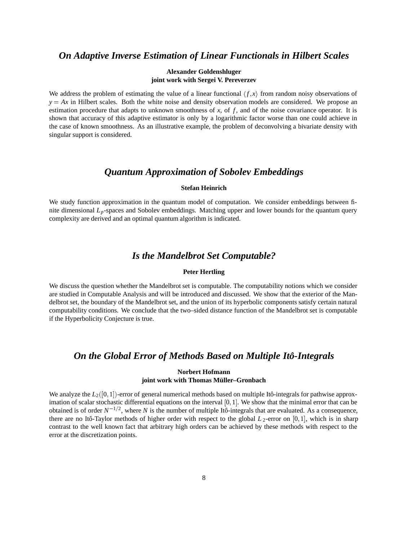### *On Adaptive Inverse Estimation of Linear Functionals in Hilbert Scales*

### **Alexander Goldenshluger joint work with Sergei V. Pereverzev**

We address the problem of estimating the value of a linear functional  $\langle f, x \rangle$  from random noisy observations of  $y = Ax$  in Hilbert scales. Both the white noise and density observation models are considered. We propose an estimation procedure that adapts to unknown smoothness of *x*, of *f*, and of the noise covariance operator. It is shown that accuracy of this adaptive estimator is only by a logarithmic factor worse than one could achieve in the case of known smoothness. As an illustrative example, the problem of deconvolving a bivariate density with singular support is considered.

### *Quantum Approximation of Sobolev Embeddings*

### **Stefan Heinrich**

We study function approximation in the quantum model of computation. We consider embeddings between finite dimensional *Lp*-spaces and Sobolev embeddings. Matching upper and lower bounds for the quantum query complexity are derived and an optimal quantum algorithm is indicated.

## *Is the Mandelbrot Set Computable?*

#### **Peter Hertling**

We discuss the question whether the Mandelbrot set is computable. The computability notions which we consider are studied in Computable Analysis and will be introduced and discussed. We show that the exterior of the Mandelbrot set, the boundary of the Mandelbrot set, and the union of its hyperbolic components satisfy certain natural computability conditions. We conclude that the two–sided distance function of the Mandelbrot set is computable if the Hyperbolicity Conjecture is true.

### *On the Global Error of Methods Based on Multiple Ito-Integrals ˆ*

### **Norbert Hofmann joint work with Thomas Müller–Gronbach**

We analyze the  $L_2([0, 1])$ -error of general numerical methods based on multiple Itô-integrals for pathwise approximation of scalar stochastic differential equations on the interval [0, 1]. We show that the minimal error that can be obtained is of order  $N^{-1/2}$ , where *N* is the number of multiple Itô-integrals that are evaluated. As a consequence, there are no Itô-Taylor methods of higher order with respect to the global  $L_2$ -error on [0,1], which is in sharp contrast to the well known fact that arbitrary high orders can be achieved by these methods with respect to the error at the discretization points.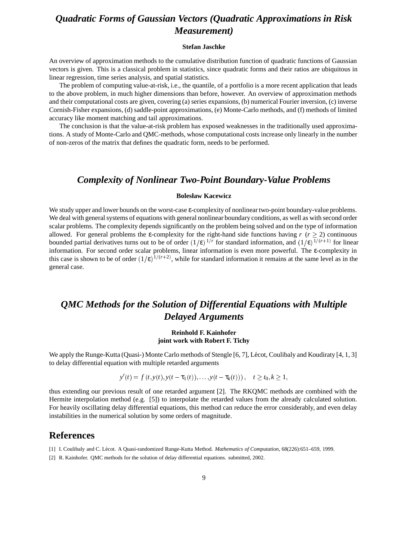## *Quadratic Forms of Gaussian Vectors (Quadratic Approximations in Risk Measurement)*

#### **Stefan Jaschke**

An overview of approximation methods to the cumulative distribution function of quadratic functions of Gaussian vectors is given. This is a classical problem in statistics, since quadratic forms and their ratios are ubiquitous in linear regression, time series analysis, and spatial statistics.

The problem of computing value-at-risk, i.e., the quantile, of a portfolio is a more recent application that leads to the above problem, in much higher dimensions than before, however. An overview of approximation methods and their computational costs are given, covering (a) series expansions, (b) numerical Fourier inversion, (c) inverse Cornish-Fisher expansions, (d) saddle-point approximations, (e) Monte-Carlo methods, and (f) methods of limited accuracy like moment matching and tail approximations.

The conclusion is that the value-at-risk problem has exposed weaknesses in the traditionally used approximations. A study of Monte-Carlo and QMC-methods, whose computational costs increase only linearly in the number of non-zeros of the matrix that defines the quadratic form, needs to be performed.

### *Complexity of Nonlinear Two-Point Boundary-Value Problems*

#### **Bolesław Kacewicz**

We study upper and lower bounds on the worst-case ε-complexity of nonlinear two-point boundary-value problems. We deal with general systems of equations with general nonlinear boundary conditions, as well as with second order scalar problems. The complexity depends significantly on the problem being solved and on the type of information allowed. For general problems the  $\varepsilon$ -complexity for the right-hand side functions having  $r$  ( $r \ge 2$ ) continuous bounded partial derivatives turns out to be of order  $(1/\epsilon)^{1/r}$  for standard information, and  $(1/\epsilon)^{1/(r+1)}$  for linear information. For second order scalar problems, linear information is even more powerful. The ε-complexity in this case is shown to be of order  $(1/\epsilon)^{1/(r+2)}$ , while for standard information it remains at the same level as in the general case.

## *QMC Methods for the Solution of Differential Equations with Multiple Delayed Arguments*

### **Reinhold F. Kainhofer joint work with Robert F. Tichy**

We apply the Runge-Kutta (Quasi-) Monte Carlo methods of Stengle [6, 7], Lécot, Coulibaly and Koudiraty [4, 1, 3] to delay differential equation with multiple retarded arguments

 $y'(t) = f(t, y(t), y(t - \tau_1(t)), \ldots, y(t - \tau_k(t)))$ ,  $t \ge t_0, k \ge 1$ ,

thus extending our previous result of one retarded argument [2]. The RKQMC methods are combined with the Hermite interpolation method (e.g. [5]) to interpolate the retarded values from the already calculated solution. For heavily oscillating delay differential equations, this method can reduce the error considerably, and even delay instabilities in the numerical solution by some orders of magnitude.

### **References**

- [1] I. Coulibaly and C. L´ecot. A Quasi-randomized Runge-Kutta Method. *Mathematics of Computation*, 68(226):651–659, 1999.
- [2] R. Kainhofer. QMC methods for the solution of delay differential equations. submitted, 2002.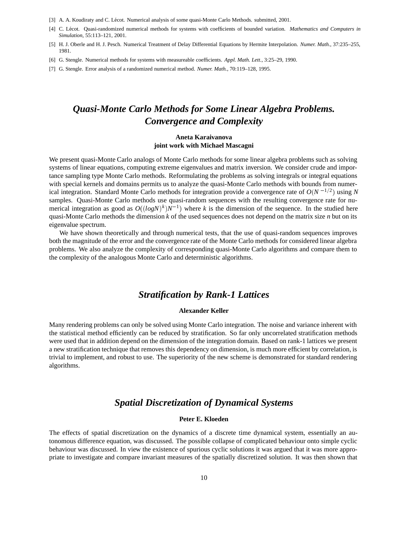- [3] A. A. Koudiraty and C. Lécot. Numerical analysis of some quasi-Monte Carlo Methods. submitted, 2001.
- [4] C. L´ecot. Quasi-randomized numerical methods for systems with coefficients of bounded variation. *Mathematics and Computers in Simulation*, 55:113–121, 2001.
- [5] H. J. Oberle and H. J. Pesch. Numerical Treatment of Delay Differential Equations by Hermite Interpolation. *Numer. Math.*, 37:235–255, 1981.
- [6] G. Stengle. Numerical methods for systems with measureable coefficients. *Appl. Math. Lett.*, 3:25–29, 1990.

[7] G. Stengle. Error analysis of a randomized numerical method. *Numer. Math.*, 70:119–128, 1995.

## *Quasi-Monte Carlo Methods for Some Linear Algebra Problems. Convergence and Complexity*

#### **Aneta Karaivanova joint work with Michael Mascagni**

We present quasi-Monte Carlo analogs of Monte Carlo methods for some linear algebra problems such as solving systems of linear equations, computing extreme eigenvalues and matrix inversion. We consider crude and importance sampling type Monte Carlo methods. Reformulating the problems as solving integrals or integral equations with special kernels and domains permits us to analyze the quasi-Monte Carlo methods with bounds from numerical integration. Standard Monte Carlo methods for integration provide a convergence rate of  $O(N^{-1/2})$  using N samples. Quasi-Monte Carlo methods use quasi-random sequences with the resulting convergence rate for numerical integration as good as  $O((log N)^k)N^{-1}$ ) where *k* is the dimension of the sequence. In the studied here quasi-Monte Carlo methods the dimension *k* of the used sequences does not depend on the matrix size *n* but on its eigenvalue spectrum.

We have shown theoretically and through numerical tests, that the use of quasi-random sequences improves both the magnitude of the error and the convergence rate of the Monte Carlo methods for considered linear algebra problems. We also analyze the complexity of corresponding quasi-Monte Carlo algorithms and compare them to the complexity of the analogous Monte Carlo and deterministic algorithms.

### *Stratification by Rank-1 Lattices*

#### **Alexander Keller**

Many rendering problems can only be solved using Monte Carlo integration. The noise and variance inherent with the statistical method efficiently can be reduced by stratification. So far only uncorrelated stratification methods were used that in addition depend on the dimension of the integration domain. Based on rank-1 lattices we present a new stratification technique that removes this dependency on dimension, is much more efficient by correlation, is trivial to implement, and robust to use. The superiority of the new scheme is demonstrated for standard rendering algorithms.

### *Spatial Discretization of Dynamical Systems*

#### **Peter E. Kloeden**

The effects of spatial discretization on the dynamics of a discrete time dynamical system, essentially an autonomous difference equation, was discussed. The possible collapse of complicated behaviour onto simple cyclic behaviour was discussed. In view the existence of spurious cyclic solutions it was argued that it was more appropriate to investigate and compare invariant measures of the spatially discretized solution. It was then shown that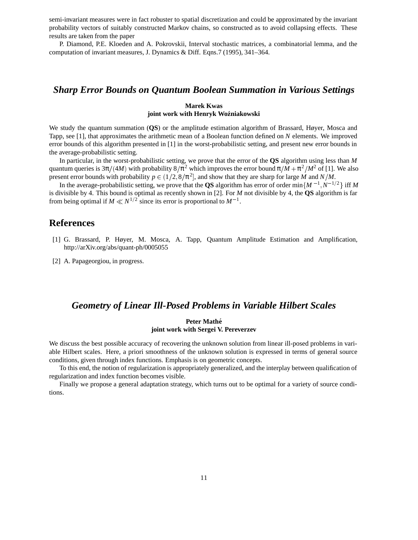semi-invariant measures were in fact robuster to spatial discretization and could be approximated by the invariant probability vectors of suitably constructed Markov chains, so constructed as to avoid collapsing effects. These results are taken from the paper

P. Diamond, P.E. Kloeden and A. Pokrovskii, Interval stochastic matrices, a combinatorial lemma, and the computation of invariant measures, J. Dynamics & Diff. Eqns.7 (1995), 341–364.

### *Sharp Error Bounds on Quantum Boolean Summation in Various Settings*

#### **Marek Kwas joint work with Henryk Wo´zniakowski**

We study the quantum summation (**QS**) or the amplitude estimation algorithm of Brassard, Høyer, Mosca and Tapp, see [1], that approximates the arithmetic mean of a Boolean function defined on *N* elements. We improved error bounds of this algorithm presented in [1] in the worst-probabilistic setting, and present new error bounds in the average-probabilistic setting.

In particular, in the worst-probabilistic setting, we prove that the error of the **QS** algorithm using less than *M* quantum queries is  $3\pi/(4M)$  with probability  $8/\pi^2$  which improves the error bound  $\pi/M + \pi^2/M^2$  of [1]. We also present error bounds with probability  $p \in (1/2, 8/\pi^2]$ , and show that they are sharp for large *M* and *N*/*M*.

In the average-probabilistic setting, we prove that the **QS** algorithm has error of order min ${M^{-1}, N^{-1/2}}$  iff M is divisible by 4. This bound is optimal as recently shown in [2]. For *M* not divisible by 4, the **QS** algorithm is far from being optimal if  $M \ll N^{1/2}$  since its error is proportional to  $M^{-1}$ .

### **References**

- [1] G. Brassard, P. Høyer, M. Mosca, A. Tapp, Quantum Amplitude Estimation and Amplification, http://arXiv.org/abs/quant-ph/0005055
- [2] A. Papageorgiou, in progress.

### *Geometry of Linear Ill-Posed Problems in Variable Hilbert Scales*

### **Peter Mathe´ joint work with Sergei V. Pereverzev**

We discuss the best possible accuracy of recovering the unknown solution from linear ill-posed problems in variable Hilbert scales. Here, a priori smoothness of the unknown solution is expressed in terms of general source conditions, given through index functions. Emphasis is on geometric concepts.

To this end, the notion of regularization is appropriately generalized, and the interplay between qualification of regularization and index function becomes visible.

Finally we propose a general adaptation strategy, which turns out to be optimal for a variety of source conditions.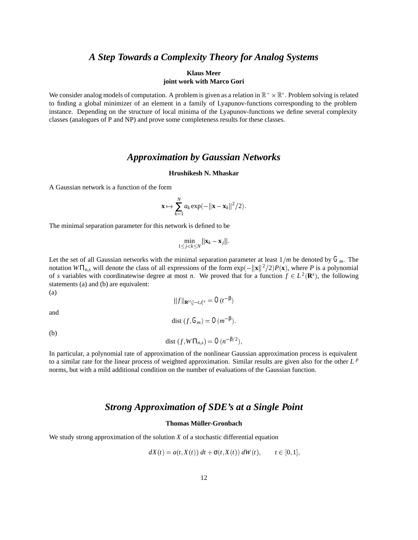## *A Step Towards a Complexity Theory for Analog Systems*

### **Klaus Meer joint work with Marco Gori**

We consider analog models of computation. A problem is given as a relation in  $\mathbb{R}^* \times \mathbb{R}^*$ . Problem solving is related to finding a global minimizer of an element in a family of Lyapunov-functions corresponding to the problem instance. Depending on the structure of local minima of the Lyapunov-functions we define several complexity classes (analogues of P and NP) and prove some completeness results for these classes.

### *Approximation by Gaussian Networks*

#### **Hrushikesh N. Mhaskar**

A Gaussian network is a function of the form

$$
\mathbf{x} \mapsto \sum_{k=1}^N a_k \exp(-\|\mathbf{x} - \mathbf{x}_k\|^2/2).
$$

The minimal separation parameter for this network is defined to be

$$
\min_{1\leq j < k\leq N} \|\mathbf{x}_k - \mathbf{x}_j\|.
$$

Let the set of all Gaussian networks with the minimal separation parameter at least  $1/m$  be denoted by  $G_m$ . The notation  $W\Pi_{n,s}$  will denote the class of all expressions of the form  $\exp(-\|\mathbf{x}\|^2/2)P(\mathbf{x})$ , where *P* is a polynomial of *s* variables with coordinatewise degree at most *n*. We proved that for a function  $f \in L^2(\mathbf{R}^s)$ , the following statements (a) and (b) are equivalent:  $\sqrt{a}$ 

$$
^{(a)}
$$

$$
||f||_{\mathbf{R}^{s}\setminus[-t,t]^{s}} = O(t^{-\beta})
$$
  
dist  $(f, G_m) = O(m^{-\beta}).$ 

and (b)

$$
dist (f, W\Pi_{n,s}) = O(n^{-\beta/2}),
$$

In particular, a polynomial rate of approximation of the nonlinear Gaussian approximation process is equivalent to a similar rate for the linear process of weighted approximation. Similar results are given also for the other *L <sup>p</sup>* norms, but with a mild additional condition on the number of evaluations of the Gaussian function.

### *Strong Approximation of SDE's at a Single Point*

### **Thomas Müller-Gronbach**

We study strong approximation of the solution *X* of a stochastic differential equation

$$
dX(t) = a(t, X(t)) dt + \sigma(t, X(t)) dW(t), \qquad t \in [0, 1],
$$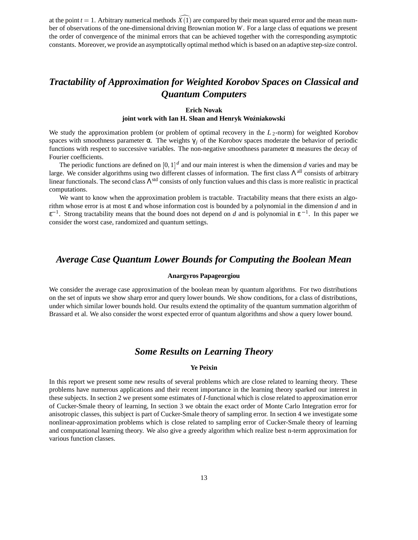at the point  $t = 1$ . Arbitrary numerical methods  $\hat{X}(1)$  are compared by their mean squared error and the mean number of observations of the one-dimensional driving Brownian motion *W*. For a large class of equations we present the order of convergence of the minimal errors that can be achieved together with the corresponding asymptotic constants. Moreover, we provide an asymptotically optimal method which is based on an adaptive step-size control.

## *Tractability of Approximation for Weighted Korobov Spaces on Classical and Quantum Computers*

### **Erich Novak joint work with Ian H. Sloan and Henryk Wo´zniakowski**

We study the approximation problem (or problem of optimal recovery in the  $L_2$ -norm) for weighted Korobov spaces with smoothness parameter  $\alpha$ . The weights  $\gamma_i$  of the Korobov spaces moderate the behavior of periodic functions with respect to successive variables. The non-negative smoothness parameter  $\alpha$  measures the decay of Fourier coefficients.

The periodic functions are defined on  $[0,1]^d$  and our main interest is when the dimension *d* varies and may be large. We consider algorithms using two different classes of information. The first class  $\Lambda$ <sup>all</sup> consists of arbitrary linear functionals. The second class  $\Lambda^{\text{std}}$  consists of only function values and this class is more realistic in practical computations.

We want to know when the approximation problem is tractable. Tractability means that there exists an algorithm whose error is at most ε and whose information cost is bounded by a polynomial in the dimension *d* and in  $\epsilon^{-1}$ . Strong tractability means that the bound does not depend on *d* and is polynomial in  $\epsilon^{-1}$ . In this paper we consider the worst case, randomized and quantum settings.

### *Average Case Quantum Lower Bounds for Computing the Boolean Mean*

#### **Anargyros Papageorgiou**

We consider the average case approximation of the boolean mean by quantum algorithms. For two distributions on the set of inputs we show sharp error and query lower bounds. We show conditions, for a class of distributions, under which similar lower bounds hold. Our results extend the optimality of the quantum summation algorithm of Brassard et al. We also consider the worst expected error of quantum algorithms and show a query lower bound.

### *Some Results on Learning Theory*

### **Ye Peixin**

In this report we present some new results of several problems which are close related to learning theory. These problems have numerous applications and their recent importance in the learning theory sparked our interest in these subjects. In section 2 we present some estimates of *I*-functional which is close related to approximation error of Cucker-Smale theory of learning, In section 3 we obtain the exact order of Monte Carlo Integration error for anisotropic classes, this subject is part of Cucker-Smale theory of sampling error. In section 4 we investigate some nonlinear-approximation problems which is close related to sampling error of Cucker-Smale theory of learning and computational learning theory. We also give a greedy algorithm which realize best n-term approximation for various function classes.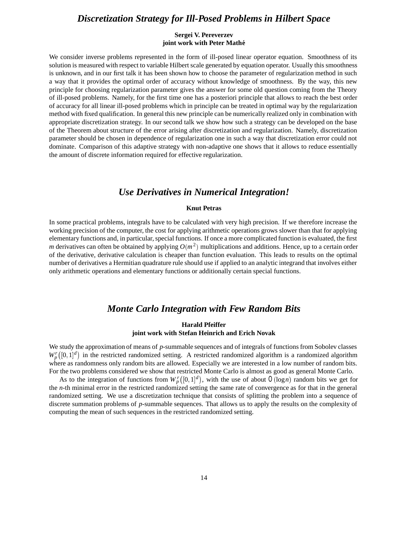### *Discretization Strategy for Ill-Posed Problems in Hilbert Space*

### **Sergei V. Pereverzev joint work with Peter Mathe´**

We consider inverse problems represented in the form of ill-posed linear operator equation. Smoothness of its solution is measured with respect to variable Hilbert scale generated by equation operator. Usually this smoothness is unknown, and in our first talk it has been shown how to choose the parameter of regularization method in such a way that it provides the optimal order of accuracy without knowledge of smoothness. By the way, this new principle for choosing regularization parameter gives the answer for some old question coming from the Theory of ill-posed problems. Namely, for the first time one has a posteriori principle that allows to reach the best order of accuracy for all linear ill-posed problems which in principle can be treated in optimal way by the regularization method with fixed qualification. In general this new principle can be numerically realized only in combination with appropriate discretization strategy. In our second talk we show how such a strategy can be developed on the base of the Theorem about structure of the error arising after discretization and regularization. Namely, discretization parameter should be chosen in dependence of regularization one in such a way that discretization error could not dominate. Comparison of this adaptive strategy with non-adaptive one shows that it allows to reduce essentially the amount of discrete information required for effective regularization.

### *Use Derivatives in Numerical Integration!*

#### **Knut Petras**

In some practical problems, integrals have to be calculated with very high precision. If we therefore increase the working precision of the computer, the cost for applying arithmetic operations grows slower than that for applying elementary functions and, in particular, special functions. If once a more complicated function is evaluated, the first *m* derivatives can often be obtained by applying  $O(m^2)$  multiplications and additions. Hence, up to a certain order of the derivative, derivative calculation is cheaper than function evaluation. This leads to results on the optimal number of derivatives a Hermitian quadrature rule should use if applied to an analytic integrand that involves either only arithmetic operations and elementary functions or additionally certain special functions.

### *Monte Carlo Integration with Few Random Bits*

#### **Harald Pfeiffer joint work with Stefan Heinrich and Erich Novak**

We study the approximation of means of *p*-summable sequences and of integrals of functions from Sobolev classes  $W_p^r([0,1]^d)$  in the restricted randomized setting. A restricted randomized algorithm is a randomized algorithm where as randomness only random bits are allowed. Especially we are interested in a low number of random bits. For the two problems considered we show that restricted Monte Carlo is almost as good as general Monte Carlo.

As to the integration of functions from  $W_p^r([0,1]^d)$ , with the use of about  $O(\log n)$  random bits we get for the *n*-th minimal error in the restricted randomized setting the same rate of convergence as for that in the general randomized setting. We use a discretization technique that consists of splitting the problem into a sequence of discrete summation problems of *p*-summable sequences. That allows us to apply the results on the complexity of computing the mean of such sequences in the restricted randomized setting.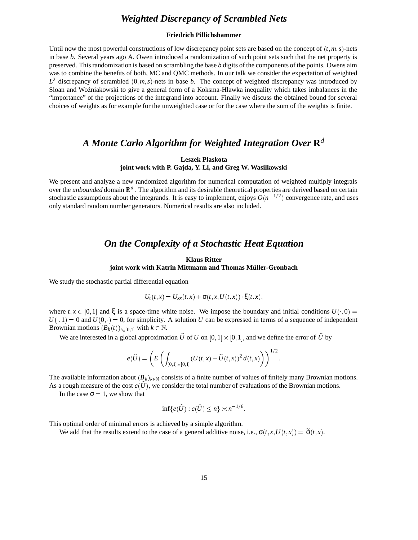## *Weighted Discrepancy of Scrambled Nets*

### **Friedrich Pillichshammer**

Until now the most powerful constructions of low discrepancy point sets are based on the concept of  $(t, m, s)$ -nets in base *b*. Several years ago A. Owen introduced a randomization of such point sets such that the net property is preserved. This randomization is based on scrambling the base *b* digits of the components of the points. Owens aim was to combine the benefits of both, MC and QMC methods. In our talk we consider the expectation of weighted  $L^2$  discrepancy of scrambled  $(0, m, s)$ -nets in base *b*. The concept of weighted discrepancy was introduced by Sloan and Woźniakowski to give a general form of a Koksma-Hlawka inequality which takes imbalances in the "importance" of the projections of the integrand into account. Finally we discuss the obtained bound for several choices of weights as for example for the unweighted case or for the case where the sum of the weights is finite.

### *A Monte Carlo Algorithm for Weighted Integration Over* **R***<sup>d</sup>*

### **Leszek Plaskota joint work with P. Gajda, Y. Li, and Greg W. Wasilkowski**

We present and analyze a new randomized algorithm for numerical computation of weighted multiply integrals over the *unbounded* domain  $\mathbb{R}^d$ . The algorithm and its desirable theoretical properties are derived based on certain stochastic assumptions about the integrands. It is easy to implement, enjoys  $O(n^{-1/2})$  convergence rate, and uses only standard random number generators. Numerical results are also included.

### *On the Complexity of a Stochastic Heat Equation*

### **Klaus Ritter joint work with Katrin Mittmann and Thomas M¨uller-Gronbach**

We study the stochastic partial differential equation

$$
U_t(t,x) = U_{xx}(t,x) + \sigma(t,x,U(t,x)) \cdot \xi(t,x),
$$

where  $t, x \in [0,1]$  and  $\xi$  is a space-time white noise. We impose the boundary and initial conditions  $U(\cdot, 0) =$  $U(\cdot, 1) = 0$  and  $U(0, \cdot) = 0$ , for simplicity. A solution *U* can be expressed in terms of a sequence of independent Brownian motions  $(B_k(t))_{t \in [0,1]}$  with  $k \in \mathbb{N}$ .

We are interested in a global approximation *U* of *U* on  $[0,1] \times [0,1]$ , and we define the error of *U* by

$$
e(\widehat{U})=\left(E\left(\int_{[0,1]\times[0,1]}(U(t,x)-\widehat{U}(t,x))^2\,d(t,x)\right)\right)^{1/2}.
$$

The available information about  $(B_k)_{k \in \mathbb{N}}$  consists of a finite number of values of finitely many Brownian motions. As a rough measure of the cost  $c(\hat{U})$ , we consider the total number of evaluations of the Brownian motions.

In the case  $\sigma = 1$ , we show that

$$
\inf\{e(\widehat{U}) : c(\widehat{U}) \le n\} \asymp n^{-1/6}
$$

This optimal order of minimal errors is achieved by a simple algorithm.

We add that the results extend to the case of a general additive noise, i.e.,  $\sigma(t, x, U(t, x)) = \widetilde{\sigma}(t, x)$ .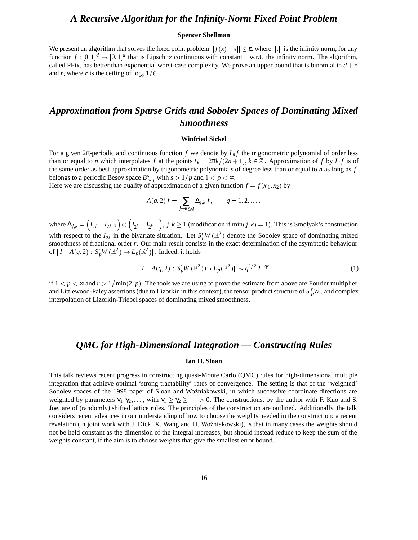### *A Recursive Algorithm for the Infinity-Norm Fixed Point Problem*

#### **Spencer Shellman**

We present an algorithm that solves the fixed point problem  $||f(x) - x|| \le \varepsilon$ , where  $||.||$  is the infinity norm, for any function  $f : [0,1]^d \to [0,1]^d$  that is Lipschitz continuous with constant 1 w.r.t. the infinity norm. The algorithm, called PFix, has better than exponential worst-case complexity. We prove an upper bound that is binomial in  $d + r$ and *r*, where *r* is the ceiling of  $\log_2 1/\epsilon$ .

## *Approximation from Sparse Grids and Sobolev Spaces of Dominating Mixed Smoothness*

#### **Winfried Sickel**

For a given  $2\pi$ -periodic and continuous function *f* we denote by  $I_n f$  the trigonometric polynomial of order less than or equal to *n* which interpolates *f* at the points  $t_k = \frac{2\pi k}{(2n+1)}$ ,  $k \in \mathbb{Z}$ . Approximation of *f* by  $I_j f$  is of the same order as best approximation by trigonometric polynomials of degree less than or equal to *n* as long as *f* belongs to a periodic Besov space  $B_{p,q}^s$  with  $s > 1/p$  and  $1 < p < \infty$ .

Here we are discussing the quality of approximation of a given function  $f = f(x_1, x_2)$  by

$$
A(q,2) f = \sum_{j+k \leq q} \Delta_{j,k} f, \qquad q = 1,2,\ldots,
$$

where  $\Delta_{j,k} = \left(I_{2^j} - I_{2^{j-1}}\right) \otimes \left(I_{2^k} - I_{2^{k-1}}\right),$  $(I_{2^k} - I_{2^{k-1}})$ ,  $j, k \ge 1$  (modification if min $(j, k) = 1$ ). This is Smolyak's construction with respect to the  $I_{2j}$  in the bivariate situation. Let  $S_p^rW(\mathbb{R}^2)$  denote the Sobolev space of dominating mixed smoothness of fractional order *r*. Our main result consists in the exact determination of the asymptotic behaviour of  $\|I - A(q, 2) : S_p^r W(\mathbb{R}^2) \mapsto L_p(\mathbb{R}^2) \|$ . Indeed, it holds

$$
||I - A(q, 2) : S_p^r W(\mathbb{R}^2) \to L_p(\mathbb{R}^2) || \sim q^{1/2} 2^{-qr}
$$
 (1)

if  $1 < p < \infty$  and  $r > 1/\min(2, p)$ . The tools we are using to prove the estimate from above are Fourier multiplier and Littlewood-Paley assertions (due to Lizorkin in this context), the tensor product structure of  $S_p^rW$  , and complex interpolation of Lizorkin-Triebel spaces of dominating mixed smoothness.

### *QMC for High-Dimensional Integration — Constructing Rules*

#### **Ian H. Sloan**

This talk reviews recent progress in constructing quasi-Monte Carlo (QMC) rules for high-dimensional multiple integration that achieve optimal 'strong tractability' rates of convergence. The setting is that of the 'weighted' Sobolev spaces of the 1998 paper of Sloan and Woźniakowski, in which successive coordinate directions are weighted by parameters  $\gamma_1, \gamma_2, \ldots$ , with  $\gamma_1 \geq \gamma_2 \geq \cdots > 0$ . The constructions, by the author with F. Kuo and S. Joe, are of (randomly) shifted lattice rules. The principles of the construction are outlined. Additionally, the talk considers recent advances in our understanding of how to choose the weights needed in the construction: a recent revelation (in joint work with J. Dick, X. Wang and H. Woźniakowski), is that in many cases the weights should not be held constant as the dimension of the integral increases, but should instead reduce to keep the sum of the weights constant, if the aim is to choose weights that give the smallest error bound.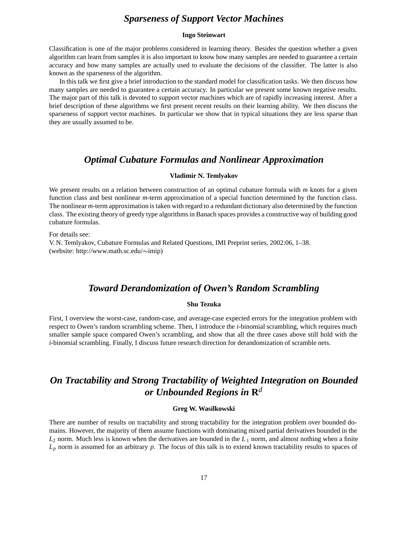### *Sparseness of Support Vector Machines*

#### **Ingo Steinwart**

Classification is one of the major problems considered in learning theory. Besides the question whether a given algorithm can learn from samples it is also important to know how many samples are needed to guarantee a certain accuracy and how many samples are actually used to evaluate the decisions of the classifier. The latter is also known as the sparseness of the algorithm.

In this talk we first give a brief introduction to the standard model for classification tasks. We then discuss how many samples are needed to guarantee a certain accuracy. In particular we present some known negative results. The major part of this talk is devoted to support vector machines which are of rapidly increasing interest. After a brief description of these algorithms we first present recent results on their learning ability. We then discuss the sparseness of support vector machines. In particular we show that in typical situations they are less sparse than they are usually assumed to be.

### *Optimal Cubature Formulas and Nonlinear Approximation*

### **Vladimir N. Temlyakov**

We present results on a relation between construction of an optimal cubature formula with *m* knots for a given function class and best nonlinear *m*-term approximation of a special function determined by the function class. The nonlinear *m*-term approximation is taken with regard to a redundant dictionary also determined by the function class. The existing theory of greedy type algorithms in Banach spaces provides a constructive way of building good cubature formulas.

For details see:

V. N. Temlyakov, Cubature Formulas and Related Questions, IMI Preprint series, 2002:06, 1–38. (website: http://www.math.sc.edu/~imip)

### *Toward Derandomization of Owen's Random Scrambling*

### **Shu Tezuka**

First, I overview the worst-case, random-case, and average-case expected errors for the integration problem with respect to Owen's random scrambling scheme. Then, I introduce the *i*-binomial scrambling, which requires much smaller sample space compared Owen's scrambling, and show that all the three cases above still hold with the *i*-binomial scrambling. Finally, I discuss future research direction for derandomization of scramble nets.

## *On Tractability and Strong Tractability of Weighted Integration on Bounded or Unbounded Regions in* **R***<sup>d</sup>*

#### **Greg W. Wasilkowski**

There are number of results on tractability and strong tractability for the integration problem over bounded domains. However, the majority of them assume functions with dominating mixed partial derivatives bounded in the  $L_2$  norm. Much less is known when the derivatives are bounded in the  $L_1$  norm, and almost nothing when a finite *Lp* norm is assumed for an arbitrary *p*. The focus of this talk is to extend known tractability results to spaces of